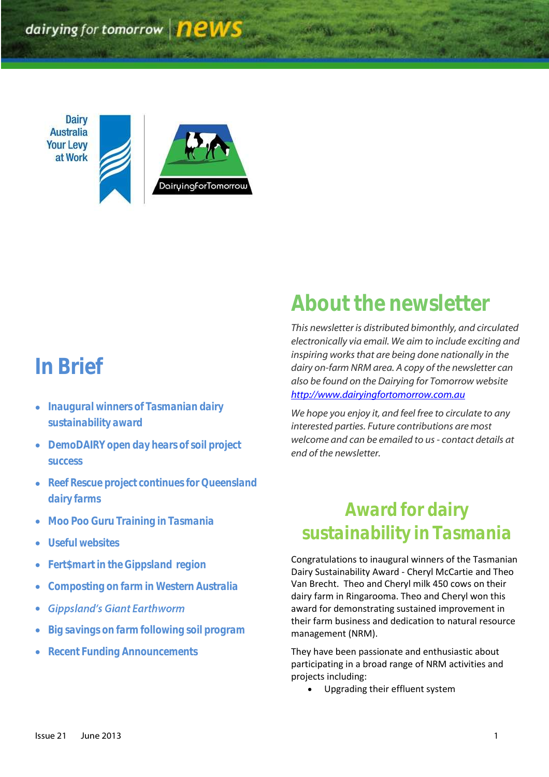dairying for tomorrow **news** 

**Dairy Australia Your Levy** at Work DairyingforTomorrow

# *In Brief*

- *Inaugural winners of Tasmanian dairy sustainability award*
- *DemoDAIRY open day hears of soil project success*
- *Reef Rescue project continues for Queensland dairy farms*
- *Moo Poo Guru Training in Tasmania*
- *Useful websites*
- *Fert\$mart in the Gippsland region*
- *Composting on farm in Western Australia*
- **Gippsland's Giant Earthworm**  $\bullet$
- *Big savings on farm following soil program*
- *Recent Funding Announcements*

# *About the newsletter*

*This newsletter is distributed bimonthly, and circulated electronically via email. We aim to include exciting and inspiring works that are being done nationally in the dairy on-farm NRM area. A copy of the newsletter can also be found on the Dairying for Tomorrow website [http://www.dairyingfortomorrow.com.au](http://www.dairyingfortomorrow.com.au/)* 

*We hope you enjoy it, and feel free to circulate to any interested parties. Future contributions are most welcome and can be emailed to us- contact details at end of the newsletter.*

# *Award for dairy sustainability in Tasmania*

Congratulations to inaugural winners of the Tasmanian Dairy Sustainability Award - Cheryl McCartie and Theo Van Brecht. Theo and Cheryl milk 450 cows on their dairy farm in Ringarooma. Theo and Cheryl won this award for demonstrating sustained improvement in their farm business and dedication to natural resource management (NRM).

They have been passionate and enthusiastic about participating in a broad range of NRM activities and projects including:

Upgrading their effluent system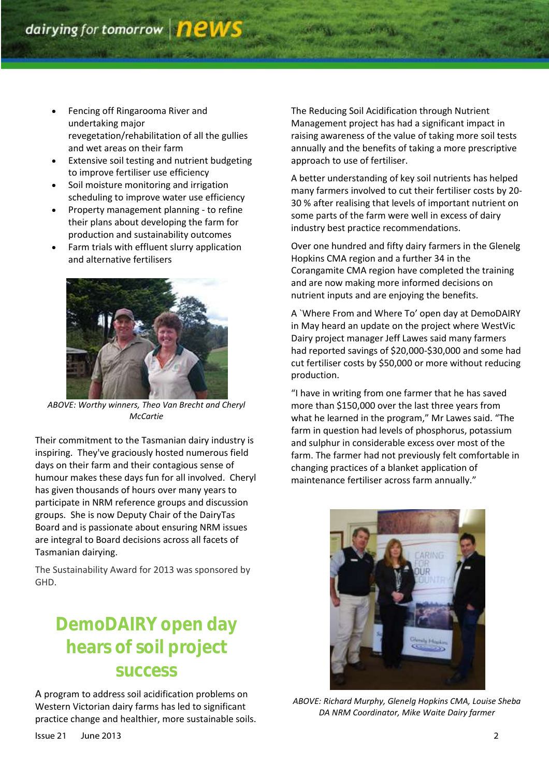- Fencing off Ringarooma River and undertaking major revegetation/rehabilitation of all the gullies and wet areas on their farm
- Extensive soil testing and nutrient budgeting to improve fertiliser use efficiency
- Soil moisture monitoring and irrigation scheduling to improve water use efficiency
- Property management planning to refine their plans about developing the farm for production and sustainability outcomes
- Farm trials with effluent slurry application and alternative fertilisers



*ABOVE: Worthy winners, Theo Van Brecht and Cheryl McCartie*

Their commitment to the Tasmanian dairy industry is inspiring. They've graciously hosted numerous field days on their farm and their contagious sense of humour makes these days fun for all involved. Cheryl has given thousands of hours over many years to participate in NRM reference groups and discussion groups. She is now Deputy Chair of the DairyTas Board and is passionate about ensuring NRM issues are integral to Board decisions across all facets of Tasmanian dairying.

The Sustainability Award for 2013 was sponsored by GHD.

# **DemoDAIRY open day hears of soil project success**

A program to address soil acidification problems on Western Victorian dairy farms has led to significant practice change and healthier, more sustainable soils. The Reducing Soil Acidification through Nutrient Management project has had a significant impact in raising awareness of the value of taking more soil tests annually and the benefits of taking a more prescriptive approach to use of fertiliser.

A better understanding of key soil nutrients has helped many farmers involved to cut their fertiliser costs by 20- 30 % after realising that levels of important nutrient on some parts of the farm were well in excess of dairy industry best practice recommendations.

Over one hundred and fifty dairy farmers in the Glenelg Hopkins CMA region and a further 34 in the Corangamite CMA region have completed the training and are now making more informed decisions on nutrient inputs and are enjoying the benefits.

A `Where From and Where To' open day at DemoDAIRY in May heard an update on the project where WestVic Dairy project manager Jeff Lawes said many farmers had reported savings of \$20,000-\$30,000 and some had cut fertiliser costs by \$50,000 or more without reducing production.

"I have in writing from one farmer that he has saved more than \$150,000 over the last three years from what he learned in the program," Mr Lawes said. "The farm in question had levels of phosphorus, potassium and sulphur in considerable excess over most of the farm. The farmer had not previously felt comfortable in changing practices of a blanket application of maintenance fertiliser across farm annually."



*ABOVE: Richard Murphy, Glenelg Hopkins CMA, Louise Sheba DA NRM Coordinator, Mike Waite Dairy farmer*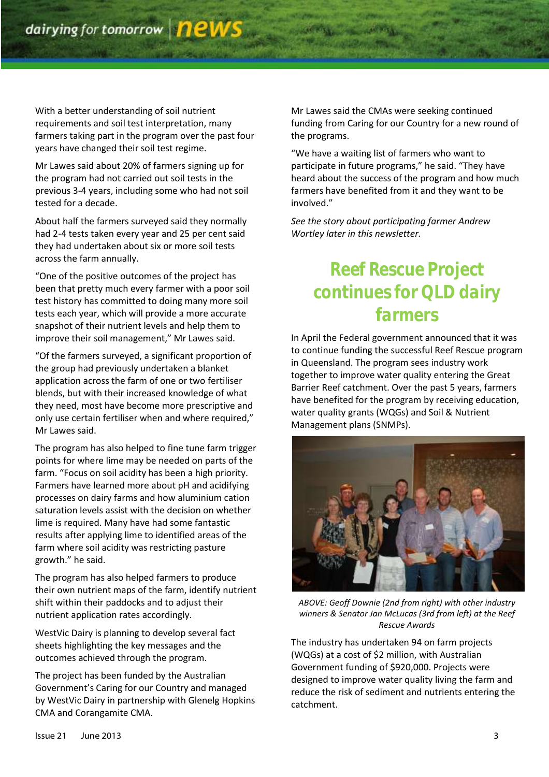With a better understanding of soil nutrient requirements and soil test interpretation, many farmers taking part in the program over the past four years have changed their soil test regime.

Mr Lawes said about 20% of farmers signing up for the program had not carried out soil tests in the previous 3-4 years, including some who had not soil tested for a decade.

About half the farmers surveyed said they normally had 2-4 tests taken every year and 25 per cent said they had undertaken about six or more soil tests across the farm annually.

"One of the positive outcomes of the project has been that pretty much every farmer with a poor soil test history has committed to doing many more soil tests each year, which will provide a more accurate snapshot of their nutrient levels and help them to improve their soil management," Mr Lawes said.

"Of the farmers surveyed, a significant proportion of the group had previously undertaken a blanket application across the farm of one or two fertiliser blends, but with their increased knowledge of what they need, most have become more prescriptive and only use certain fertiliser when and where required," Mr Lawes said.

The program has also helped to fine tune farm trigger points for where lime may be needed on parts of the farm. "Focus on soil acidity has been a high priority. Farmers have learned more about pH and acidifying processes on dairy farms and how aluminium cation saturation levels assist with the decision on whether lime is required. Many have had some fantastic results after applying lime to identified areas of the farm where soil acidity was restricting pasture growth." he said.

The program has also helped farmers to produce their own nutrient maps of the farm, identify nutrient shift within their paddocks and to adjust their nutrient application rates accordingly.

WestVic Dairy is planning to develop several fact sheets highlighting the key messages and the outcomes achieved through the program.

The project has been funded by the Australian Government's Caring for our Country and managed by WestVic Dairy in partnership with Glenelg Hopkins CMA and Corangamite CMA.

Mr Lawes said the CMAs were seeking continued funding from Caring for our Country for a new round of the programs.

"We have a waiting list of farmers who want to participate in future programs," he said. "They have heard about the success of the program and how much farmers have benefited from it and they want to be involved."

*See the story about participating farmer Andrew Wortley later in this newsletter.*

# *Reef Rescue Project continues for QLD dairy farmers*

In April the Federal government announced that it was to continue funding the successful Reef Rescue program in Queensland. The program sees industry work together to improve water quality entering the Great Barrier Reef catchment. Over the past 5 years, farmers have benefited for the program by receiving education, water quality grants (WQGs) and Soil & Nutrient Management plans (SNMPs).



*ABOVE: Geoff Downie (2nd from right) with other industry winners & Senator Jan McLucas (3rd from left) at the Reef Rescue Awards*

The industry has undertaken 94 on farm projects (WQGs) at a cost of \$2 million, with Australian Government funding of \$920,000. Projects were designed to improve water quality living the farm and reduce the risk of sediment and nutrients entering the catchment.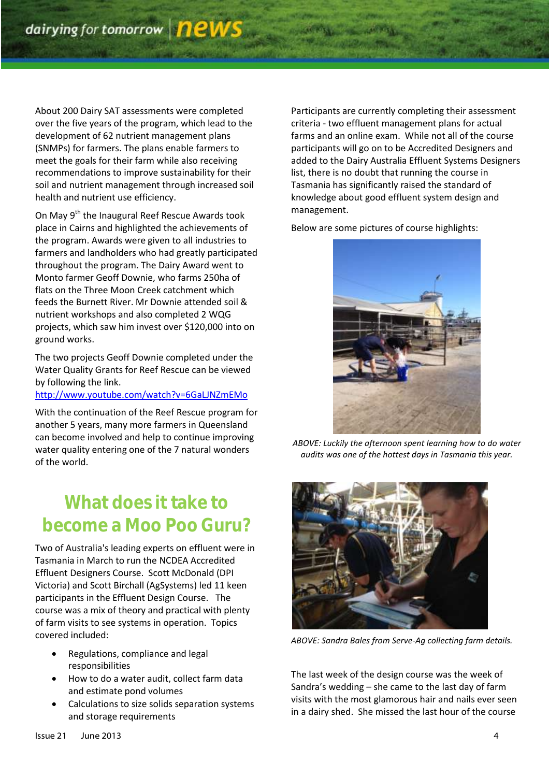About 200 Dairy SAT assessments were completed over the five years of the program, which lead to the development of 62 nutrient management plans (SNMPs) for farmers. The plans enable farmers to meet the goals for their farm while also receiving recommendations to improve sustainability for their soil and nutrient management through increased soil health and nutrient use efficiency.

On May 9<sup>th</sup> the Inaugural Reef Rescue Awards took place in Cairns and highlighted the achievements of the program. Awards were given to all industries to farmers and landholders who had greatly participated throughout the program. The Dairy Award went to Monto farmer Geoff Downie, who farms 250ha of flats on the Three Moon Creek catchment which feeds the Burnett River. Mr Downie attended soil & nutrient workshops and also completed 2 WQG projects, which saw him invest over \$120,000 into on ground works.

The two projects Geoff Downie completed under the Water Quality Grants for Reef Rescue can be viewed by following the link.

### <http://www.youtube.com/watch?v=6GaLJNZmEMo>

With the continuation of the Reef Rescue program for another 5 years, many more farmers in Queensland can become involved and help to continue improving water quality entering one of the 7 natural wonders of the world.

# **What does it take to become a Moo Poo Guru?**

Two of Australia's leading experts on effluent were in Tasmania in March to run the NCDEA Accredited Effluent Designers Course. Scott McDonald (DPI Victoria) and Scott Birchall (AgSystems) led 11 keen participants in the Effluent Design Course. The course was a mix of theory and practical with plenty of farm visits to see systems in operation. Topics covered included:

- Regulations, compliance and legal responsibilities
- How to do a water audit, collect farm data and estimate pond volumes
- Calculations to size solids separation systems and storage requirements

Participants are currently completing their assessment criteria - two effluent management plans for actual farms and an online exam. While not all of the course participants will go on to be Accredited Designers and added to the Dairy Australia Effluent Systems Designers list, there is no doubt that running the course in Tasmania has significantly raised the standard of knowledge about good effluent system design and management.

Below are some pictures of course highlights:



*ABOVE: Luckily the afternoon spent learning how to do water audits was one of the hottest days in Tasmania this year.*



*ABOVE: Sandra Bales from Serve-Ag collecting farm details.* 

The last week of the design course was the week of Sandra's wedding – she came to the last day of farm visits with the most glamorous hair and nails ever seen in a dairy shed. She missed the last hour of the course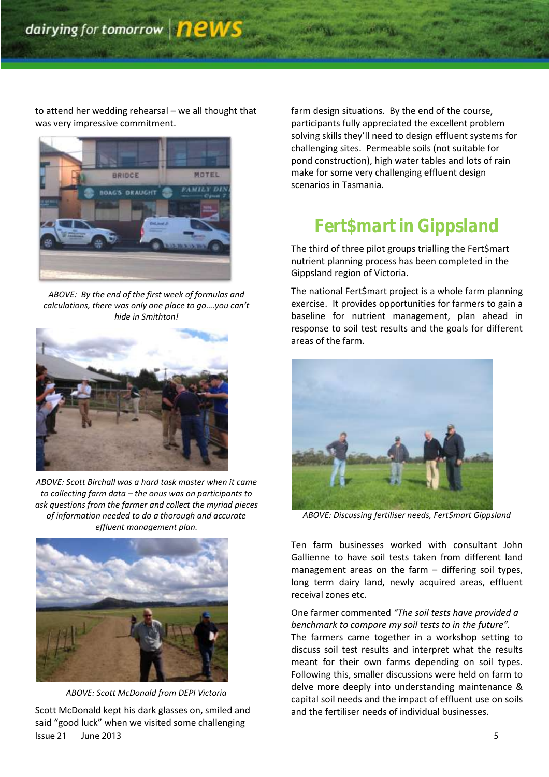to attend her wedding rehearsal – we all thought that was very impressive commitment.



*ABOVE: By the end of the first week of formulas and calculations, there was only one place to go….you can't hide in Smithton!*



*ABOVE: Scott Birchall was a hard task master when it came to collecting farm data – the onus was on participants to ask questions from the farmer and collect the myriad pieces of information needed to do a thorough and accurate effluent management plan.*



*ABOVE: Scott McDonald from DEPI Victoria*

Issue 21 June 2013 5 Scott McDonald kept his dark glasses on, smiled and said "good luck" when we visited some challenging

farm design situations. By the end of the course, participants fully appreciated the excellent problem solving skills they'll need to design effluent systems for challenging sites. Permeable soils (not suitable for pond construction), high water tables and lots of rain make for some very challenging effluent design scenarios in Tasmania.

# *Fert\$mart in Gippsland*

The third of three pilot groups trialling the Fert\$mart nutrient planning process has been completed in the Gippsland region of Victoria.

The national Fert\$mart project is a whole farm planning exercise. It provides opportunities for farmers to gain a baseline for nutrient management, plan ahead in response to soil test results and the goals for different areas of the farm.



*ABOVE: Discussing fertiliser needs, Fert\$mart Gippsland*

Ten farm businesses worked with consultant John Gallienne to have soil tests taken from different land management areas on the farm – differing soil types, long term dairy land, newly acquired areas, effluent receival zones etc.

### One farmer commented *"The soil tests have provided a benchmark to compare my soil tests to in the future".*

The farmers came together in a workshop setting to discuss soil test results and interpret what the results meant for their own farms depending on soil types. Following this, smaller discussions were held on farm to delve more deeply into understanding maintenance & capital soil needs and the impact of effluent use on soils and the fertiliser needs of individual businesses.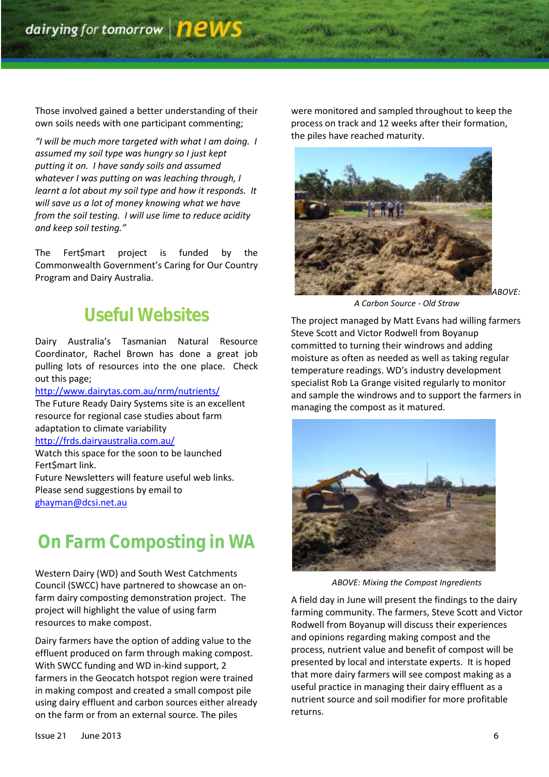Those involved gained a better understanding of their own soils needs with one participant commenting;

*"I will be much more targeted with what I am doing. I assumed my soil type was hungry so I just kept putting it on. I have sandy soils and assumed whatever I was putting on was leaching through, I learnt a lot about my soil type and how it responds. It will save us a lot of money knowing what we have from the soil testing. I will use lime to reduce acidity and keep soil testing."*

The Fert\$mart project is funded by the Commonwealth Government's Caring for Our Country Program and Dairy Australia.

### *Useful Websites*

Dairy Australia's Tasmanian Natural Resource Coordinator, Rachel Brown has done a great job pulling lots of resources into the one place. Check out this page;

#### <http://www.dairytas.com.au/nrm/nutrients/>

The Future Ready Dairy Systems site is an excellent resource for regional case studies about farm adaptation to climate variability

### <http://frds.dairyaustralia.com.au/>

Watch this space for the soon to be launched Fert\$mart link.

Future Newsletters will feature useful web links. Please send suggestions by email to <ghayman@dcsi.net.au>

### *On Farm Composting in WA*

Western Dairy (WD) and South West Catchments Council (SWCC) have partnered to showcase an onfarm dairy composting demonstration project. The project will highlight the value of using farm resources to make compost.

Dairy farmers have the option of adding value to the effluent produced on farm through making compost. With SWCC funding and WD in-kind support, 2 farmers in the Geocatch hotspot region were trained in making compost and created a small compost pile using dairy effluent and carbon sources either already on the farm or from an external source. The piles

were monitored and sampled throughout to keep the process on track and 12 weeks after their formation, the piles have reached maturity.



*A Carbon Source - Old Straw*

The project managed by Matt Evans had willing farmers Steve Scott and Victor Rodwell from Boyanup committed to turning their windrows and adding moisture as often as needed as well as taking regular temperature readings. WD's industry development specialist Rob La Grange visited regularly to monitor and sample the windrows and to support the farmers in managing the compost as it matured.



*ABOVE: Mixing the Compost Ingredients*

A field day in June will present the findings to the dairy farming community. The farmers, Steve Scott and Victor Rodwell from Boyanup will discuss their experiences and opinions regarding making compost and the process, nutrient value and benefit of compost will be presented by local and interstate experts. It is hoped that more dairy farmers will see compost making as a useful practice in managing their dairy effluent as a nutrient source and soil modifier for more profitable returns.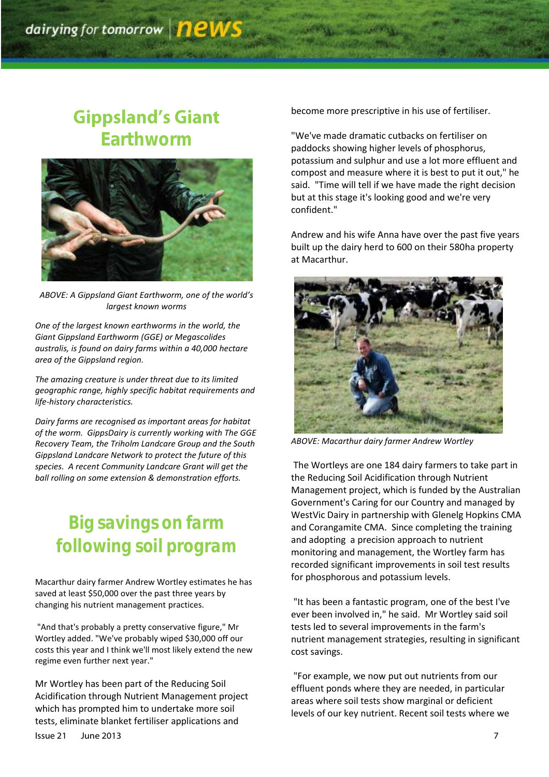### **Gippsland's Giant Earthworm**



*ABOVE: A Gippsland Giant Earthworm, one of the world's largest known worms*

*One of the largest known earthworms in the world, the Giant Gippsland Earthworm (GGE) or Megascolides australis, is found on dairy farms within a 40,000 hectare area of the Gippsland region.*

*The amazing creature is under threat due to its limited geographic range, highly specific habitat requirements and life-history characteristics.* 

*Dairy farms are recognised as important areas for habitat of the worm. GippsDairy is currently working with The GGE Recovery Team, the Triholm Landcare Group and the South Gippsland Landcare Network to protect the future of this species. A recent Community Landcare Grant will get the ball rolling on some extension & demonstration efforts.*

# *Big savings on farm following soil program*

Macarthur dairy farmer Andrew Wortley estimates he has saved at least \$50,000 over the past three years by changing his nutrient management practices.

"And that's probably a pretty conservative figure," Mr Wortley added. "We've probably wiped \$30,000 off our costs this year and I think we'll most likely extend the new regime even further next year."

Mr Wortley has been part of the Reducing Soil Acidification through Nutrient Management project which has prompted him to undertake more soil tests, eliminate blanket fertiliser applications and

become more prescriptive in his use of fertiliser.

"We've made dramatic cutbacks on fertiliser on paddocks showing higher levels of phosphorus, potassium and sulphur and use a lot more effluent and compost and measure where it is best to put it out," he said. "Time will tell if we have made the right decision but at this stage it's looking good and we're very confident."

Andrew and his wife Anna have over the past five years built up the dairy herd to 600 on their 580ha property at Macarthur.



*ABOVE: Macarthur dairy farmer Andrew Wortley*

The Wortleys are one 184 dairy farmers to take part in the Reducing Soil Acidification through Nutrient Management project, which is funded by the Australian Government's Caring for our Country and managed by WestVic Dairy in partnership with Glenelg Hopkins CMA and Corangamite CMA. Since completing the training and adopting a precision approach to nutrient monitoring and management, the Wortley farm has recorded significant improvements in soil test results for phosphorous and potassium levels.

"It has been a fantastic program, one of the best I've ever been involved in," he said. Mr Wortley said soil tests led to several improvements in the farm's nutrient management strategies, resulting in significant cost savings.

"For example, we now put out nutrients from our effluent ponds where they are needed, in particular areas where soil tests show marginal or deficient levels of our key nutrient. Recent soil tests where we